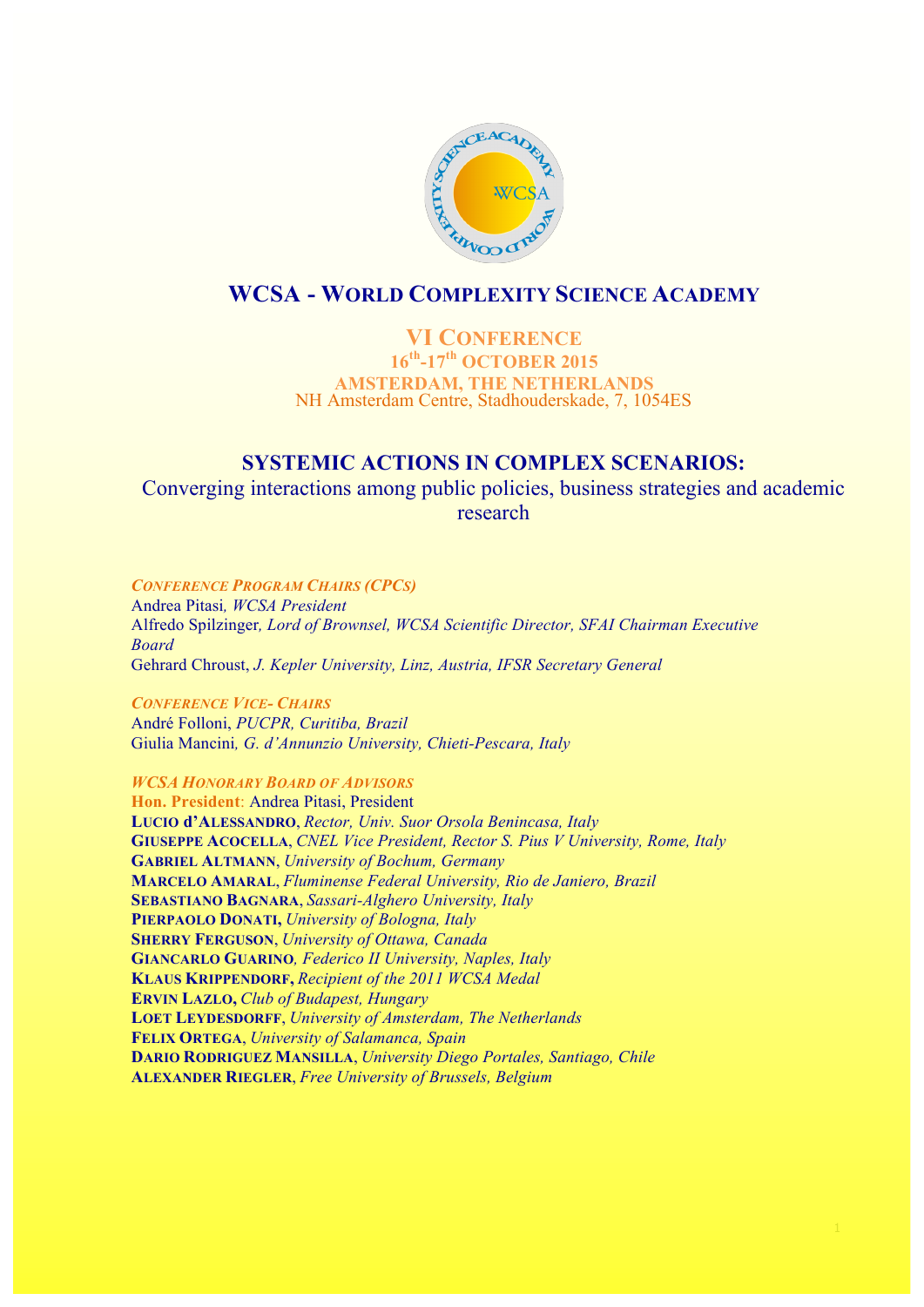

# **WCSA - WORLD COMPLEXITY SCIENCE ACADEMY**

### **VI CONFERENCE 16th-17th OCTOBER 2015 AMSTERDAM, THE NETHERLANDS** NH Amsterdam Centre, Stadhouderskade, 7, 1054ES

## **SYSTEMIC ACTIONS IN COMPLEX SCENARIOS:**

Converging interactions among public policies, business strategies and academic research

*CONFERENCE PROGRAM CHAIRS (CPCS)* Andrea Pitasi*, WCSA President* Alfredo Spilzinger*, Lord of Brownsel, WCSA Scientific Director, SFAI Chairman Executive Board*  Gehrard Chroust, *J. Kepler University, Linz, Austria, IFSR Secretary General*

*CONFERENCE VICE- CHAIRS* André Folloni, *PUCPR, Curitiba, Brazil* Giulia Mancini*, G. d'Annunzio University, Chieti-Pescara, Italy*

*WCSA HONORARY BOARD OF ADVISORS*

**Hon. President**: Andrea Pitasi, President **LUCIO d'ALESSANDRO**, *Rector, Univ. Suor Orsola Benincasa, Italy* **GIUSEPPE ACOCELLA**, *CNEL Vice President, Rector S. Pius V University, Rome, Italy* **GABRIEL ALTMANN**, *University of Bochum, Germany* **MARCELO AMARAL**, *Fluminense Federal University, Rio de Janiero, Brazil* **SEBASTIANO BAGNARA**, *Sassari-Alghero University, Italy* **PIERPAOLO DONATI,** *University of Bologna, Italy* **SHERRY FERGUSON**, *University of Ottawa, Canada* **GIANCARLO GUARINO***, Federico II University, Naples, Italy* **KLAUS KRIPPENDORF,** *Recipient of the 2011 WCSA Medal* **ERVIN LAZLO,** *Club of Budapest, Hungary* **LOET LEYDESDORFF**, *University of Amsterdam, The Netherlands* **FELIX ORTEGA**, *University of Salamanca, Spain*  **DARIO RODRIGUEZ MANSILLA**, *University Diego Portales, Santiago, Chile* **ALEXANDER RIEGLER**, *Free University of Brussels, Belgium*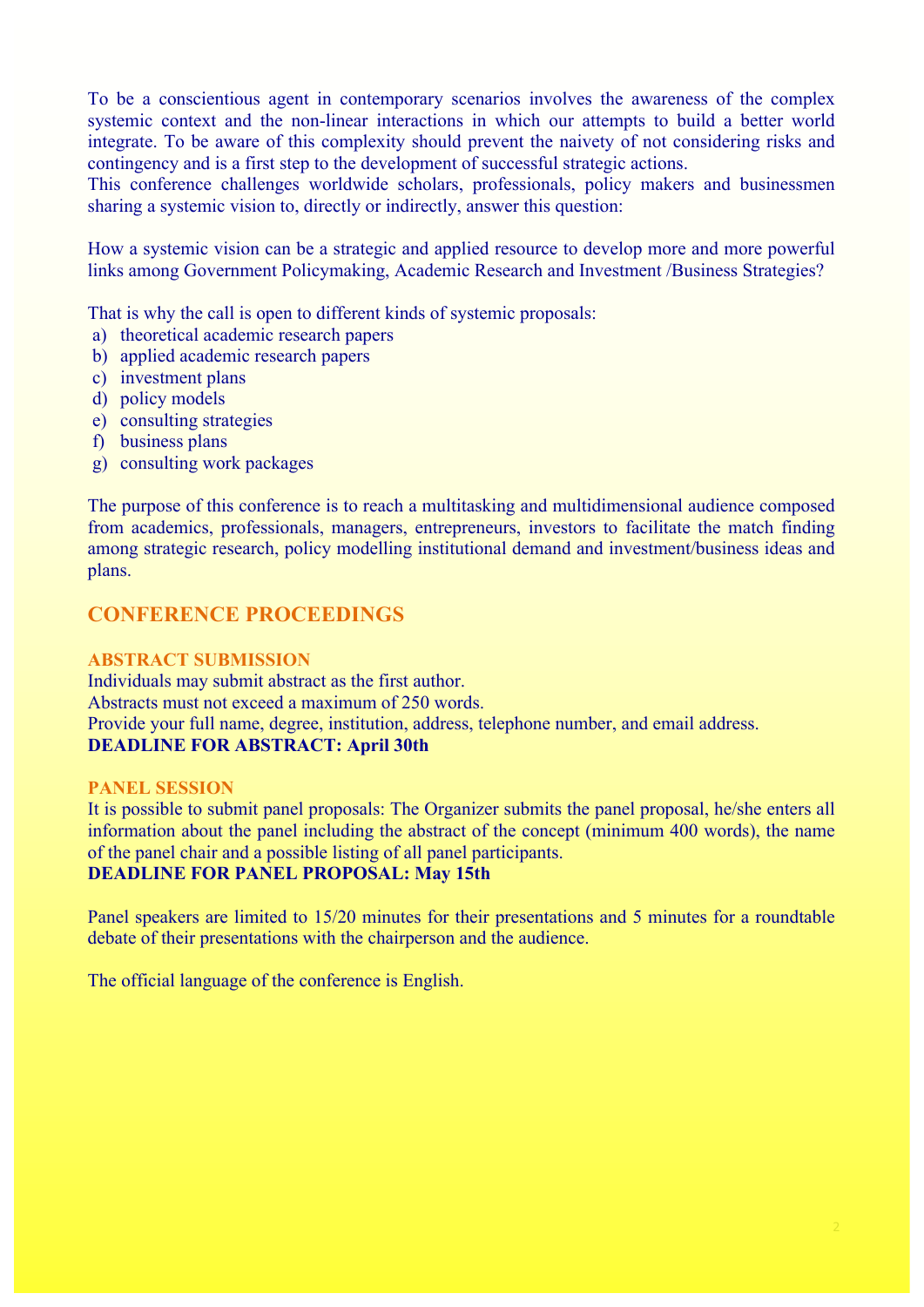To be a conscientious agent in contemporary scenarios involves the awareness of the complex systemic context and the non-linear interactions in which our attempts to build a better world integrate. To be aware of this complexity should prevent the naivety of not considering risks and contingency and is a first step to the development of successful strategic actions.

This conference challenges worldwide scholars, professionals, policy makers and businessmen sharing a systemic vision to, directly or indirectly, answer this question:

How a systemic vision can be a strategic and applied resource to develop more and more powerful links among Government Policymaking, Academic Research and Investment /Business Strategies?

That is why the call is open to different kinds of systemic proposals:

- a) theoretical academic research papers
- b) applied academic research papers
- c) investment plans
- d) policy models
- e) consulting strategies
- f) business plans
- g) consulting work packages

The purpose of this conference is to reach a multitasking and multidimensional audience composed from academics, professionals, managers, entrepreneurs, investors to facilitate the match finding among strategic research, policy modelling institutional demand and investment/business ideas and plans.

## **CONFERENCE PROCEEDINGS**

#### **ABSTRACT SUBMISSION**

Individuals may submit abstract as the first author. Abstracts must not exceed a maximum of 250 words. Provide your full name, degree, institution, address, telephone number, and email address. **DEADLINE FOR ABSTRACT: April 30th**

#### **PANEL SESSION**

It is possible to submit panel proposals: The Organizer submits the panel proposal, he/she enters all information about the panel including the abstract of the concept (minimum 400 words), the name of the panel chair and a possible listing of all panel participants. **DEADLINE FOR PANEL PROPOSAL: May 15th**

Panel speakers are limited to 15/20 minutes for their presentations and 5 minutes for a roundtable debate of their presentations with the chairperson and the audience.

The official language of the conference is English.